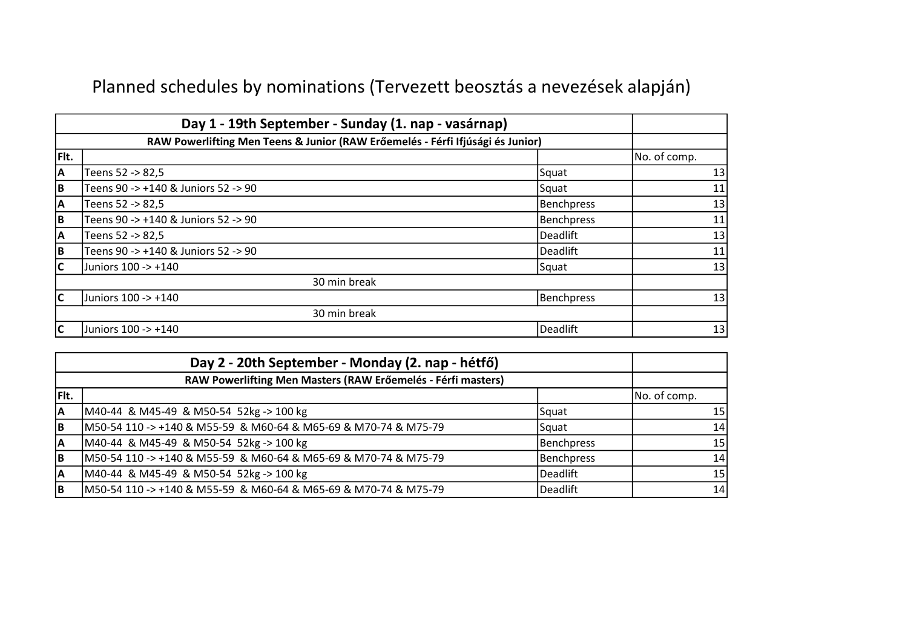## Planned schedules by nominations (Tervezett beosztás a nevezések alapján)

|              | Day 1 - 19th September - Sunday (1. nap - vasárnap)                            |                   |              |  |
|--------------|--------------------------------------------------------------------------------|-------------------|--------------|--|
|              | RAW Powerlifting Men Teens & Junior (RAW Erőemelés - Férfi Ifjúsági és Junior) |                   |              |  |
| Flt.         |                                                                                |                   | No. of comp. |  |
| ΙA           | Teens 52 -> 82,5                                                               | Squat             | 13           |  |
| B            | Teens 90 -> +140 & Juniors 52 -> 90                                            | Squat             | 11           |  |
| A            | Teens 52 -> 82,5                                                               | <b>Benchpress</b> | 13           |  |
| lв           | Teens 90 -> +140 & Juniors 52 -> 90                                            | <b>Benchpress</b> | 11           |  |
| A            | Teens 52 -> 82,5                                                               | <b>Deadlift</b>   | 13           |  |
| lв           | Teens 90 -> +140 & Juniors 52 -> 90                                            | Deadlift          | 11           |  |
| $\mathsf{C}$ | Juniors 100 -> +140                                                            | Squat             | 13           |  |
| 30 min break |                                                                                |                   |              |  |
| lc           | Juniors 100 -> +140                                                            | <b>Benchpress</b> | 13           |  |
|              | 30 min break                                                                   |                   |              |  |
| IС           | Juniors 100 -> +140                                                            | Deadlift          | 13           |  |

| Day 2 - 20th September - Monday (2. nap - hétfő)             |                                                                 |                   |                 |
|--------------------------------------------------------------|-----------------------------------------------------------------|-------------------|-----------------|
| RAW Powerlifting Men Masters (RAW Erőemelés - Férfi masters) |                                                                 |                   |                 |
| Fit.                                                         |                                                                 |                   | No. of comp.    |
| IА                                                           | M40-44 & M45-49 & M50-54 52kg -> 100 kg                         | Squat             | 15 <sub>1</sub> |
| B                                                            | M50-54 110 -> +140 & M55-59 & M60-64 & M65-69 & M70-74 & M75-79 | Squat             | 14              |
| İΑ                                                           | M40-44 & M45-49 & M50-54 52kg -> 100 kg                         | Benchpress        | 15              |
| B                                                            | M50-54 110 -> +140 & M55-59 & M60-64 & M65-69 & M70-74 & M75-79 | <b>Benchpress</b> | 14              |
| ΙA                                                           | M40-44 & M45-49 & M50-54 52kg -> 100 kg                         | Deadlift          | 15 <sub>l</sub> |
| lΒ                                                           | M50-54 110 -> +140 & M55-59 & M60-64 & M65-69 & M70-74 & M75-79 | Deadlift          | 14              |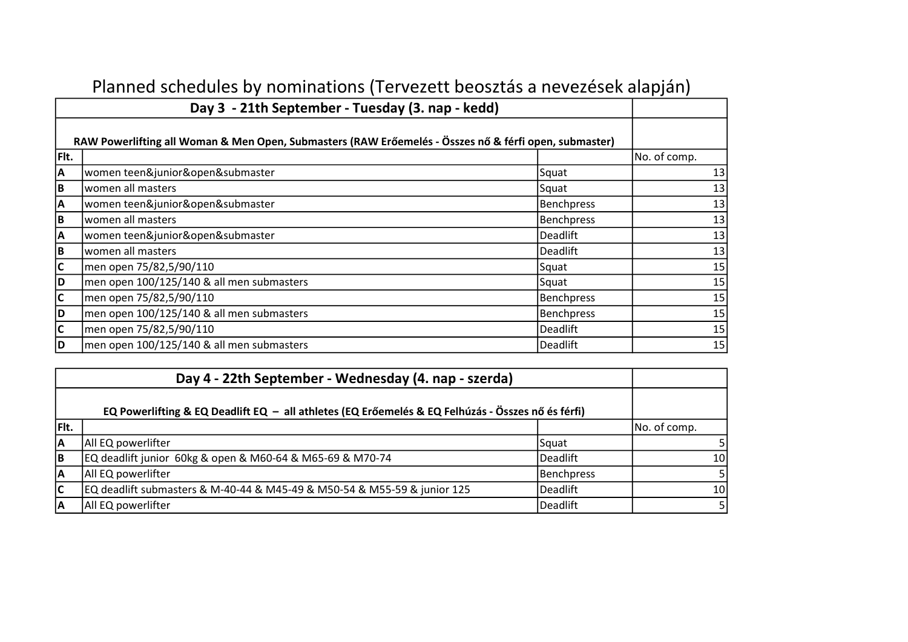|                | Day 3 - 21th September - Tuesday (3. nap - kedd)                                                      |                   |              |
|----------------|-------------------------------------------------------------------------------------------------------|-------------------|--------------|
|                | RAW Powerlifting all Woman & Men Open, Submasters (RAW Erőemelés - Összes nő & férfi open, submaster) |                   |              |
| Flt.           |                                                                                                       |                   | No. of comp. |
| A              | women teen&junior&open&submaster                                                                      | Squat             | 13           |
| $\overline{B}$ | women all masters                                                                                     | Squat             | 13           |
| $\overline{A}$ | women teen&junior&open&submaster                                                                      | <b>Benchpress</b> | 13           |
| $\overline{B}$ | women all masters                                                                                     | <b>Benchpress</b> | 13           |
| $\overline{A}$ | women teen&junior&open&submaster                                                                      | Deadlift          | 13           |
| $\overline{B}$ | women all masters                                                                                     | <b>Deadlift</b>   | 13           |
| C              | men open 75/82,5/90/110                                                                               | Squat             | 15           |
| D              | men open 100/125/140 & all men submasters                                                             | Squat             | 15           |
| C              | men open 75/82,5/90/110                                                                               | <b>Benchpress</b> | 15           |
| $\overline{D}$ | men open 100/125/140 & all men submasters                                                             | <b>Benchpress</b> | 15           |
| $\overline{c}$ | men open 75/82,5/90/110                                                                               | <b>Deadlift</b>   | 15           |
| D              | men open 100/125/140 & all men submasters                                                             | Deadlift          | 15           |

| Planned schedules by nominations (Tervezett beosztás a nevezések alapján) |  |  |
|---------------------------------------------------------------------------|--|--|
|---------------------------------------------------------------------------|--|--|

| Day 4 - 22th September - Wednesday (4. nap - szerda) |                                                                                                   |                   |                 |
|------------------------------------------------------|---------------------------------------------------------------------------------------------------|-------------------|-----------------|
|                                                      | EQ Powerlifting & EQ Deadlift EQ - all athletes (EQ Erőemelés & EQ Felhúzás - Összes nő és férfi) |                   |                 |
| Fit.                                                 |                                                                                                   |                   | No. of comp.    |
| lΑ                                                   | All EQ powerlifter                                                                                | Squat             |                 |
| lв                                                   | EQ deadlift junior 60kg & open & M60-64 & M65-69 & M70-74                                         | Deadlift          | 10 <sup>1</sup> |
| ١A                                                   | All EQ powerlifter                                                                                | <b>Benchpress</b> |                 |
| lc                                                   | EQ deadlift submasters & M-40-44 & M45-49 & M50-54 & M55-59 & junior 125                          | <b>Deadlift</b>   | 10 <sup>1</sup> |
| ΙA                                                   | All EQ powerlifter                                                                                | <b>Deadlift</b>   | -5 I            |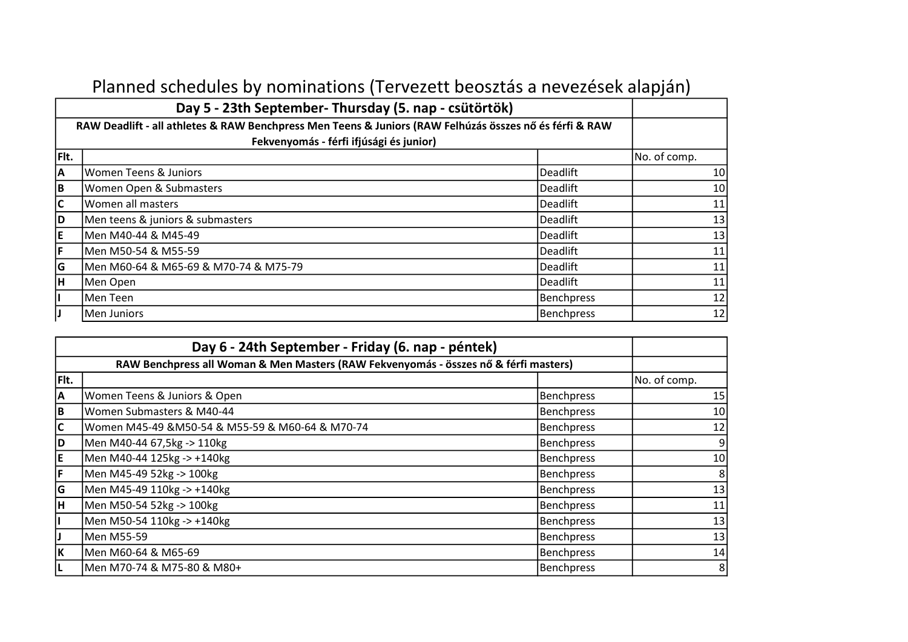|                         | Day 5 - 23th September- Thursday (5. nap - csütörtök)                                                   |                   |                 |
|-------------------------|---------------------------------------------------------------------------------------------------------|-------------------|-----------------|
|                         | RAW Deadlift - all athletes & RAW Benchpress Men Teens & Juniors (RAW Felhúzás összes nő és férfi & RAW |                   |                 |
|                         | Fekvenyomás - férfi ifjúsági és junior)                                                                 |                   |                 |
| Fit.                    |                                                                                                         |                   | No. of comp.    |
| A                       | Women Teens & Juniors                                                                                   | Deadlift          | 10 <sup>1</sup> |
| в                       | <b>Women Open &amp; Submasters</b>                                                                      | Deadlift          | 10 <sup>1</sup> |
| $\overline{\mathsf{c}}$ | Women all masters                                                                                       | Deadlift          | 11              |
| D                       | Men teens & juniors & submasters                                                                        | <b>Deadlift</b>   | 13              |
| İΕ                      | Men M40-44 & M45-49                                                                                     | Deadlift          | 13              |
| F                       | Men M50-54 & M55-59                                                                                     | Deadlift          | 11              |
| ۱G                      | Men M60-64 & M65-69 & M70-74 & M75-79                                                                   | Deadlift          | 11              |
| Iн.                     | Men Open                                                                                                | Deadlift          | 11              |
| L                       | Men Teen                                                                                                | <b>Benchpress</b> | 12              |
| IJ                      | Men Juniors                                                                                             | Benchpress        | 12              |

## Planned schedules by nominations (Tervezett beosztás a nevezések alapján)

| Day 6 - 24th September - Friday (6. nap - péntek) |                                                                                      |                   |                 |  |
|---------------------------------------------------|--------------------------------------------------------------------------------------|-------------------|-----------------|--|
|                                                   | RAW Benchpress all Woman & Men Masters (RAW Fekvenyomás - összes nő & férfi masters) |                   |                 |  |
| Fit.                                              |                                                                                      |                   | No. of comp.    |  |
| İА                                                | Women Teens & Juniors & Open                                                         | Benchpress        | 15              |  |
| lв.                                               | Women Submasters & M40-44                                                            | Benchpress        | 10              |  |
| lc.                                               | Women M45-49 &M50-54 & M55-59 & M60-64 & M70-74                                      | Benchpress        | 12              |  |
| D                                                 | Men M40-44 67,5kg -> 110kg                                                           | <b>Benchpress</b> | $\vert 9 \vert$ |  |
| E                                                 | Men M40-44 125kg -> +140kg                                                           | Benchpress        | 10              |  |
| F                                                 | Men M45-49 52kg -> 100kg                                                             | Benchpress        | 8               |  |
| G                                                 | Men M45-49 110kg -> +140kg                                                           | Benchpress        | 13              |  |
| lн                                                | Men M50-54 52kg -> 100kg                                                             | <b>Benchpress</b> | 11              |  |
| L                                                 | Men M50-54 110kg -> +140kg                                                           | Benchpress        | 13              |  |
| IJ                                                | Men M55-59                                                                           | <b>Benchpress</b> | 13              |  |
| İΚ                                                | Men M60-64 & M65-69                                                                  | <b>Benchpress</b> | 14              |  |
| L                                                 | Men M70-74 & M75-80 & M80+                                                           | Benchpress        | 8               |  |